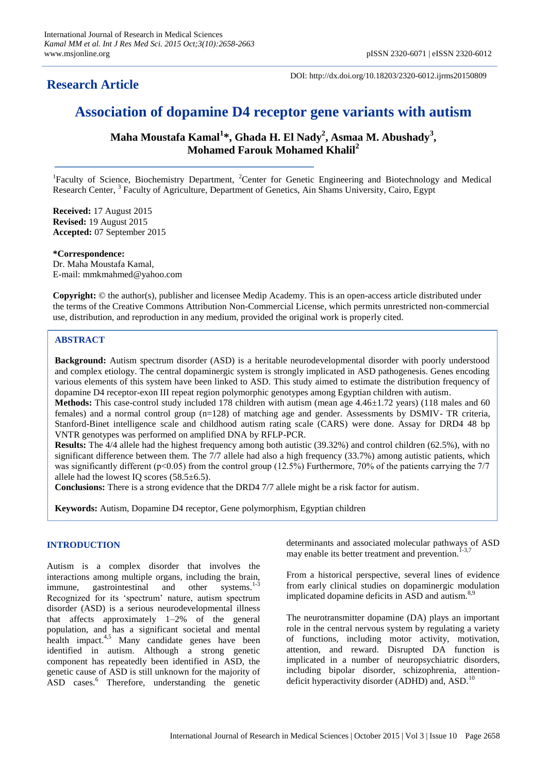# **Research Article**

DOI: http://dx.doi.org/10.18203/2320-6012.ijrms20150809

# **Association of dopamine D4 receptor gene variants with autism**

**Maha Moustafa Kamal<sup>1</sup> \*, Ghada H. El Nady<sup>2</sup> , Asmaa M. Abushady<sup>3</sup> , Mohamed Farouk Mohamed Khalil<sup>2</sup>**

<sup>1</sup>Faculty of Science, Biochemistry Department, <sup>2</sup>Center for Genetic Engineering and Biotechnology and Medical Research Center, <sup>3</sup> Faculty of Agriculture, Department of Genetics, Ain Shams University, Cairo, Egypt

**Received:** 17 August 2015 **Revised:** 19 August 2015 **Accepted:** 07 September 2015

**\*Correspondence:** Dr. Maha Moustafa Kamal, E-mail: mmkmahmed@yahoo.com

**Copyright:** © the author(s), publisher and licensee Medip Academy. This is an open-access article distributed under the terms of the Creative Commons Attribution Non-Commercial License, which permits unrestricted non-commercial use, distribution, and reproduction in any medium, provided the original work is properly cited.

# **ABSTRACT**

**Background:** Autism spectrum disorder (ASD) is a heritable neurodevelopmental disorder with poorly understood and complex etiology. The central dopaminergic system is strongly implicated in ASD pathogenesis. Genes encoding various elements of this system have been linked to ASD. This study aimed to estimate the distribution frequency of dopamine D4 receptor-exon III repeat region polymorphic genotypes among Egyptian children with autism.

**Methods:** This case-control study included 178 children with autism (mean age 4.46±1.72 years) (118 males and 60 females) and a normal control group (n=128) of matching age and gender. Assessments by DSMIV- TR criteria, Stanford-Binet intelligence scale and childhood autism rating scale (CARS) were done. Assay for DRD4 48 bp VNTR genotypes was performed on amplified DNA by RFLP-PCR.

**Results:** The 4/4 allele had the highest frequency among both autistic (39.32%) and control children (62.5%), with no significant difference between them. The 7/7 allele had also a high frequency (33.7%) among autistic patients, which was significantly different ( $p<0.05$ ) from the control group (12.5%) Furthermore, 70% of the patients carrying the 7/7 allele had the lowest IQ scores (58.5±6.5).

**Conclusions:** There is a strong evidence that the DRD4 7/7 allele might be a risk factor for autism.

**Keywords:** Autism, Dopamine D4 receptor, Gene polymorphism, Egyptian children

### **INTRODUCTION**

Autism is a complex disorder that involves the interactions among multiple organs, including the brain, immune, gastrointestinal and other systems. $1-3$ Recognized for its 'spectrum' nature, autism spectrum disorder (ASD) is a serious neurodevelopmental illness that affects approximately 1–2% of the general population, and has a significant societal and mental health impact.<sup>4,5</sup> Many candidate genes have been identified in autism. Although a strong genetic component has repeatedly been identified in ASD, the genetic cause of ASD is still unknown for the majority of ASD cases.<sup>6</sup> Therefore, understanding the genetic determinants and associated molecular pathways of ASD may enable its better treatment and prevention.<sup>1</sup>

From a historical perspective, several lines of evidence from early clinical studies on dopaminergic modulation implicated dopamine deficits in ASD and autism.<sup>8,9</sup>

The neurotransmitter dopamine (DA) plays an important role in the central nervous system by regulating a variety of functions, including motor activity, motivation, attention, and reward. Disrupted DA function is implicated in a number of neuropsychiatric disorders, including bipolar disorder, schizophrenia, attentiondeficit hyperactivity disorder (ADHD) and, ASD.<sup>10</sup>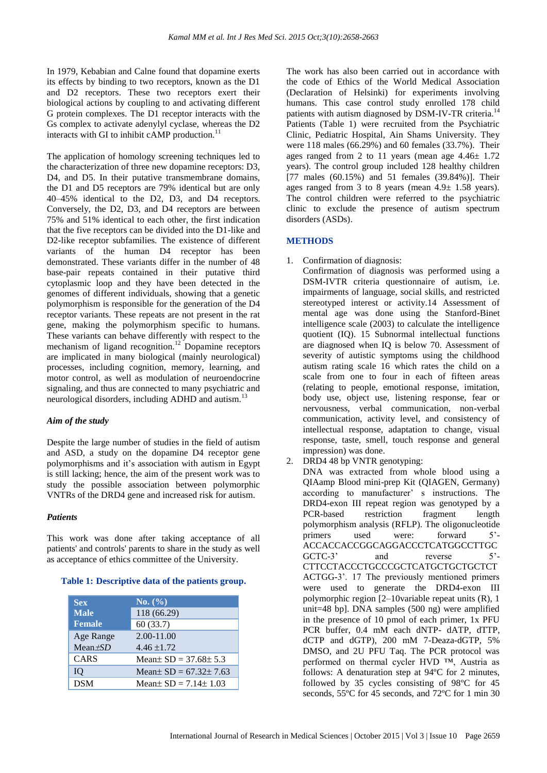In 1979, Kebabian and Calne found that dopamine exerts its effects by binding to two receptors, known as the D1 and D2 receptors. These two receptors exert their biological actions by coupling to and activating different G protein complexes. The D1 receptor interacts with the Gs complex to activate adenylyl cyclase, whereas the D2 interacts with GI to inhibit cAMP production. $^{11}$ 

The application of homology screening techniques led to the characterization of three new dopamine receptors: D3, D4, and D5. In their putative transmembrane domains, the D1 and D5 receptors are 79% identical but are only 40–45% identical to the D2, D3, and D4 receptors. Conversely, the D2, D3, and D4 receptors are between 75% and 51% identical to each other, the first indication that the five receptors can be divided into the D1-like and D2-like receptor subfamilies. The existence of different variants of the human D4 receptor has been demonstrated. These variants differ in the number of 48 base-pair repeats contained in their putative third cytoplasmic loop and they have been detected in the genomes of different individuals, showing that a genetic polymorphism is responsible for the generation of the D4 receptor variants. These repeats are not present in the rat gene, making the polymorphism specific to humans. These variants can behave differently with respect to the mechanism of ligand recognition.<sup>12</sup> Dopamine receptors are implicated in many biological (mainly neurological) processes, including cognition, memory, learning, and motor control, as well as modulation of neuroendocrine signaling, and thus are connected to many psychiatric and neurological disorders, including ADHD and autism.<sup>13</sup>

### *Aim of the study*

Despite the large number of studies in the field of autism and ASD, a study on the dopamine D4 receptor gene polymorphisms and it's association with autism in Egypt is still lacking; hence, the aim of the present work was to study the possible association between polymorphic VNTRs of the DRD4 gene and increased risk for autism.

### *Patients*

This work was done after taking acceptance of all patients' and controls' parents to share in the study as well as acceptance of ethics committee of the University.

### **Table 1: Descriptive data of the patients group.**

| <b>Sex</b><br><b>Male</b><br><b>Female</b> | No. (%)<br>118 (66.29)<br>60(33.7) |
|--------------------------------------------|------------------------------------|
| Age Range<br>Mean $\pm SD$                 | 2.00-11.00<br>$4.46 \pm 1.72$      |
| CARS                                       | Mean $SD = 37.68 \pm 5.3$          |
| IO                                         | Mean $SD = 67.32 \pm 7.63$         |
| <b>DSM</b>                                 | Mean $SD = 7.14 \pm 1.03$          |

The work has also been carried out in accordance with the code of Ethics of the World Medical Association (Declaration of Helsinki) for experiments involving humans. This case control study enrolled 178 child patients with autism diagnosed by DSM-IV-TR criteria.<sup>14</sup> Patients (Table 1) were recruited from the Psychiatric Clinic, Pediatric Hospital, Ain Shams University. They were 118 males (66.29%) and 60 females (33.7%). Their ages ranged from 2 to 11 years (mean age  $4.46 \pm 1.72$ ) years). The control group included 128 healthy children [77 males (60.15%) and 51 females (39.84%)]. Their ages ranged from 3 to 8 years (mean  $4.9 \pm 1.58$  years). The control children were referred to the psychiatric clinic to exclude the presence of autism spectrum disorders (ASDs).

### **METHODS**

1. Confirmation of diagnosis:

Confirmation of diagnosis was performed using a DSM-IVTR criteria questionnaire of autism, i.e. impairments of language, social skills, and restricted stereotyped interest or activity.14 Assessment of mental age was done using the Stanford-Binet intelligence scale (2003) to calculate the intelligence quotient (IQ). 15 Subnormal intellectual functions are diagnosed when IQ is below 70. Assessment of severity of autistic symptoms using the childhood autism rating scale 16 which rates the child on a scale from one to four in each of fifteen areas (relating to people, emotional response, imitation, body use, object use, listening response, fear or nervousness, verbal communication, non-verbal communication, activity level, and consistency of intellectual response, adaptation to change, visual response, taste, smell, touch response and general impression) was done.

2. DRD4 48 bp VNTR genotyping:

DNA was extracted from whole blood using a QIAamp Blood mini-prep Kit (QIAGEN, Germany) according to manufacturer' s instructions. The DRD4-exon III repeat region was genotyped by a PCR-based restriction fragment length polymorphism analysis (RFLP). The oligonucleotide primers used were: forward 5'- ACCACCACCGGCAGGACCCTCATGGCCTTGC GCTC-3' and reverse 5'-CTTCCTACCCTGCCCGCTCATGCTGCTGCTCT ACTGG-3'. 17 The previously mentioned primers were used to generate the DRD4-exon III polymorphic region [2–10variable repeat units (R), 1 unit=48 bp]. DNA samples (500 ng) were amplified in the presence of 10 pmol of each primer, 1x PFU PCR buffer, 0.4 mM each dNTP- dATP, dTTP, dCTP and dGTP), 200 mM 7-Deaza-dGTP, 5% DMSO, and 2U PFU Taq. The PCR protocol was performed on thermal cycler HVD ™, Austria as follows: A denaturation step at 94ºC for 2 minutes, followed by 35 cycles consisting of 98ºC for 45 seconds, 55ºC for 45 seconds, and 72ºC for 1 min 30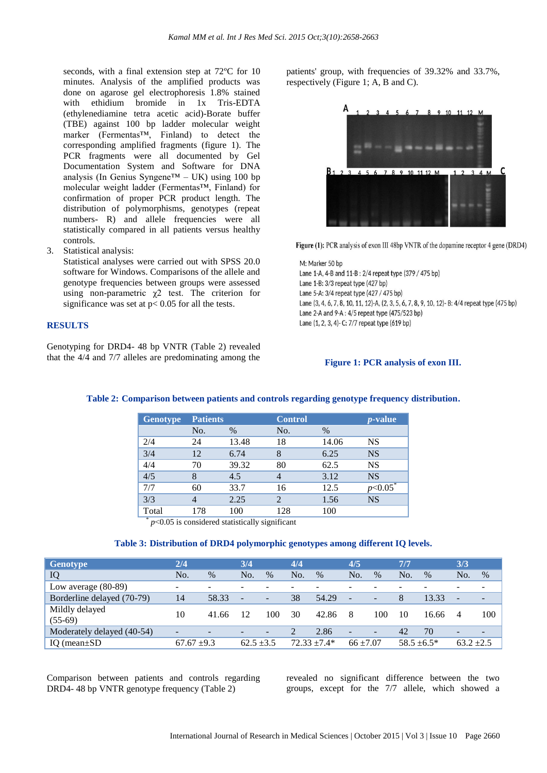seconds, with a final extension step at 72ºC for 10 minutes. Analysis of the amplified products was done on agarose gel electrophoresis 1.8% stained with ethidium bromide in 1x Tris-EDTA (ethylenediamine tetra acetic acid)-Borate buffer (TBE) against 100 bp ladder molecular weight marker (Fermentas™, Finland) to detect the corresponding amplified fragments (figure 1). The PCR fragments were all documented by Gel Documentation System and Software for DNA analysis (In Genius Syngene™ – UK) using 100 bp molecular weight ladder (Fermentas™, Finland) for confirmation of proper PCR product length. The distribution of polymorphisms, genotypes (repeat numbers- R) and allele frequencies were all statistically compared in all patients versus healthy controls.

3. Statistical analysis:

Statistical analyses were carried out with SPSS 20.0 software for Windows. Comparisons of the allele and genotype frequencies between groups were assessed using non-parametric  $\chi$ 2 test. The criterion for significance was set at  $p < 0.05$  for all the tests.

## **RESULTS**

Genotyping for DRD4- 48 bp VNTR (Table 2) revealed that the 4/4 and 7/7 alleles are predominating among the

patients' group, with frequencies of 39.32% and 33.7%, respectively (Figure 1; A, B and C).



Figure (1): PCR analysis of exon III 48bp VNTR of the dopamine receptor 4 gene (DRD4)

M: Marker 50 bp Lane 1-A, 4-B and 11-B: 2/4 repeat type (379 / 475 bp) Lane 1-B: 3/3 repeat type (427 bp) Lane 5-A: 3/4 repeat type (427 / 475 bp) Lane (3, 4, 6, 7, 8, 10, 11, 12)-A, (2, 3, 5, 6, 7, 8, 9, 10, 12)-B: 4/4 repeat type (475 bp) Lane 2-A and 9-A: 4/5 repeat type (475/523 bp) Lane (1, 2, 3, 4)- C: 7/7 repeat type (619 bp)

#### **Figure 1: PCR analysis of exon III.**

|     |       | <b>Control</b>  |       | <i>p</i> -value      |
|-----|-------|-----------------|-------|----------------------|
| No. | $\%$  | No.             | $\%$  |                      |
| 24  | 13.48 | 18              | 14.06 | <b>NS</b>            |
| 12  | 6.74  | 8               | 6.25  | <b>NS</b>            |
| 70  | 39.32 | 80              | 62.5  | <b>NS</b>            |
| 8   | 4.5   |                 | 3.12  | <b>NS</b>            |
| 60  | 33.7  | 16              | 12.5  | $\nu$ < 0.05 $^\ast$ |
| 4   | 2.25  | $\overline{2}$  | 1.56  | <b>NS</b>            |
| 178 | 100   | 128             | 100   |                      |
|     |       | <b>Patients</b> |       |                      |

### **Table 2: Comparison between patients and controls regarding genotype frequency distribution.**

*p*˂0.05 is considered statistically significant

#### **Table 3: Distribution of DRD4 polymorphic genotypes among different IQ levels.**

| <b>Genotype</b>             | 2/4                      |                          | 3/4                      |                   | 4/4            |       | 4/5                      |                          | 7/7              |       | 3/3                      |      |
|-----------------------------|--------------------------|--------------------------|--------------------------|-------------------|----------------|-------|--------------------------|--------------------------|------------------|-------|--------------------------|------|
| IQ                          | No.                      | $\%$                     | No.                      | $\%$              | No.            | $\%$  | No.                      | $\%$                     | N <sub>O</sub>   | $\%$  | No.                      | $\%$ |
| Low average $(80-89)$       | -                        | $\overline{\phantom{0}}$ |                          |                   |                |       |                          |                          |                  |       | -                        |      |
| Borderline delayed (70-79)  | 14                       | 58.33                    | $\overline{\phantom{a}}$ | $\qquad \qquad -$ | 38             | 54.29 | $\overline{\phantom{a}}$ | $\overline{\phantom{a}}$ | 8                | 13.33 | $\overline{\phantom{a}}$ |      |
| Mildly delayed<br>$(55-69)$ | 10                       | 41.66                    | 12                       | 100               | 30             | 42.86 | -8                       | 100                      | 10               | 16.66 | 4                        | 100  |
| Moderately delayed (40-54)  | $\overline{\phantom{a}}$ | $\overline{\phantom{a}}$ |                          |                   | 2              | 2.86  | $\overline{\phantom{a}}$ | $-$                      | 42               | 70    | $\overline{\phantom{a}}$ |      |
| IO (mean $\pm$ SD)          | $67.67 \pm 9.3$          |                          | $62.5 + 3.5$             |                   | $72.33 + 7.4*$ |       | $66 + 7.07$              |                          | $58.5 \pm 6.5^*$ |       | $63.2 + 2.5$             |      |

Comparison between patients and controls regarding DRD4- 48 bp VNTR genotype frequency (Table 2)

revealed no significant difference between the two groups, except for the 7/7 allele, which showed a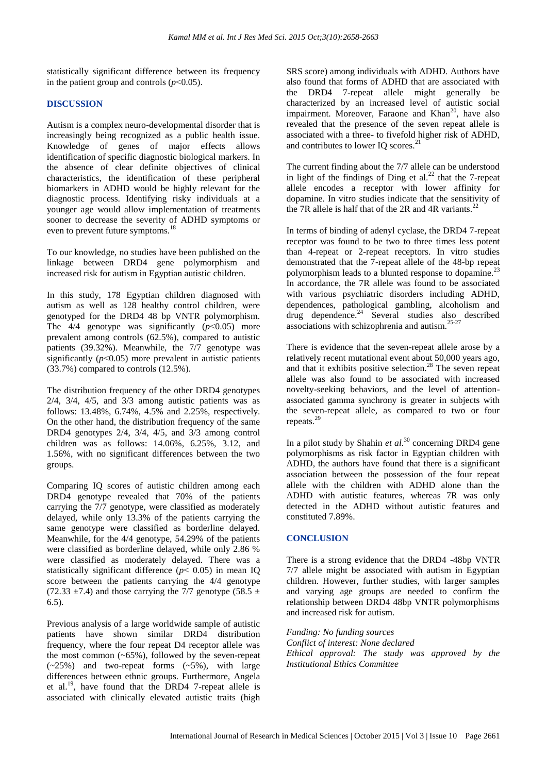statistically significant difference between its frequency in the patient group and controls  $(p<0.05)$ .

### **DISCUSSION**

Autism is a complex neuro-developmental disorder that is increasingly being recognized as a public health issue. Knowledge of genes of major effects allows identification of specific diagnostic biological markers. In the absence of clear definite objectives of clinical characteristics, the identification of these peripheral biomarkers in ADHD would be highly relevant for the diagnostic process. Identifying risky individuals at a younger age would allow implementation of treatments sooner to decrease the severity of ADHD symptoms or even to prevent future symptoms.<sup>18</sup>

To our knowledge, no studies have been published on the linkage between DRD4 gene polymorphism and increased risk for autism in Egyptian autistic children.

In this study, 178 Egyptian children diagnosed with autism as well as 128 healthy control children, were genotyped for the DRD4 48 bp VNTR polymorphism. The  $4/4$  genotype was significantly  $(p<0.05)$  more prevalent among controls (62.5%), compared to autistic patients (39.32%). Meanwhile, the 7/7 genotype was significantly  $(p<0.05)$  more prevalent in autistic patients (33.7%) compared to controls (12.5%).

The distribution frequency of the other DRD4 genotypes  $2/4$ ,  $3/4$ ,  $4/5$ , and  $3/3$  among autistic patients was as follows: 13.48%, 6.74%, 4.5% and 2.25%, respectively. On the other hand, the distribution frequency of the same DRD4 genotypes 2/4, 3/4, 4/5, and 3/3 among control children was as follows: 14.06%, 6.25%, 3.12, and 1.56%, with no significant differences between the two groups.

Comparing IQ scores of autistic children among each DRD4 genotype revealed that 70% of the patients carrying the 7/7 genotype, were classified as moderately delayed, while only 13.3% of the patients carrying the same genotype were classified as borderline delayed. Meanwhile, for the 4/4 genotype, 54.29% of the patients were classified as borderline delayed, while only 2.86 % were classified as moderately delayed. There was a statistically significant difference  $(p < 0.05)$  in mean IQ score between the patients carrying the 4/4 genotype (72.33  $\pm$ 7.4) and those carrying the 7/7 genotype (58.5  $\pm$ 6.5).

Previous analysis of a large worldwide sample of autistic patients have shown similar DRD4 distribution frequency, where the four repeat D4 receptor allele was the most common  $(-65\%)$ , followed by the seven-repeat (~25%) and two-repeat forms (~5%), with large differences between ethnic groups. Furthermore, Angela et al.<sup>19</sup>, have found that the DRD4 7-repeat allele is associated with clinically elevated autistic traits (high SRS score) among individuals with ADHD. Authors have also found that forms of ADHD that are associated with the DRD4 7-repeat allele might generally be characterized by an increased level of autistic social impairment. Moreover, Faraone and Khan<sup>20</sup>, have also revealed that the presence of the seven repeat allele is associated with a three- to fivefold higher risk of ADHD, and contributes to lower IQ scores. $^{21}$ 

The current finding about the 7/7 allele can be understood in light of the findings of Ding et al.<sup>22</sup> that the 7-repeat allele encodes a receptor with lower affinity for dopamine. In vitro studies indicate that the sensitivity of the 7R allele is half that of the 2R and 4R variants.<sup>22</sup>

In terms of binding of adenyl cyclase, the DRD4 7-repeat receptor was found to be two to three times less potent than 4-repeat or 2-repeat receptors. In vitro studies demonstrated that the 7-repeat allele of the 48-bp repeat polymorphism leads to a blunted response to dopamine.<sup>23</sup> In accordance, the 7R allele was found to be associated with various psychiatric disorders including ADHD, dependences, pathological gambling, alcoholism and drug dependence.<sup>24</sup> Several studies also described associations with schizophrenia and autism.25-27

There is evidence that the seven-repeat allele arose by a relatively recent mutational event about 50,000 years ago, and that it exhibits positive selection.<sup>28</sup> The seven repeat allele was also found to be associated with increased novelty-seeking behaviors, and the level of attentionassociated gamma synchrony is greater in subjects with the seven-repeat allele, as compared to two or four repeats.<sup>29</sup>

In a pilot study by Shahin *et al*. <sup>30</sup> concerning DRD4 gene polymorphisms as risk factor in Egyptian children with ADHD, the authors have found that there is a significant association between the possession of the four repeat allele with the children with ADHD alone than the ADHD with autistic features, whereas 7R was only detected in the ADHD without autistic features and constituted 7.89%.

### **CONCLUSION**

There is a strong evidence that the DRD4 -48bp VNTR 7/7 allele might be associated with autism in Egyptian children. However, further studies, with larger samples and varying age groups are needed to confirm the relationship between DRD4 48bp VNTR polymorphisms and increased risk for autism.

*Funding: No funding sources Conflict of interest: None declared Ethical approval: The study was approved by the Institutional Ethics Committee*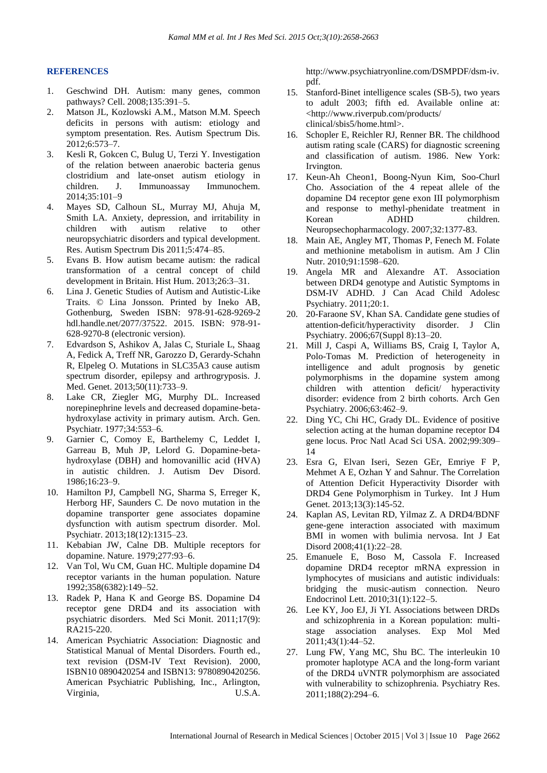#### **REFERENCES**

- 1. Geschwind DH. Autism: many genes, common pathways? Cell. 2008;135:391–5.
- 2. Matson JL, Kozlowski A.M., Matson M.M. Speech deficits in persons with autism: etiology and symptom presentation. Res. Autism Spectrum Dis. 2012;6:573–7.
- 3. Kesli R, Gokcen C, Bulug U, Terzi Y. Investigation of the relation between anaerobic bacteria genus clostridium and late-onset autism etiology in children. J. Immunoassay Immunochem. 2014;35:101–9
- 4. Mayes SD, Calhoun SL, Murray MJ, Ahuja M, Smith LA. Anxiety, depression, and irritability in children with autism relative to other neuropsychiatric disorders and typical development. Res. Autism Spectrum Dis 2011;5:474–85.
- 5. Evans B. How autism became autism: the radical transformation of a central concept of child development in Britain. Hist Hum. 2013;26:3–31.
- 6. Lina J. Genetic Studies of Autism and Autistic-Like Traits. © Lina Jonsson. Printed by Ineko AB, Gothenburg, Sweden ISBN: 978-91-628-9269-2 hdl.handle.net/2077/37522. 2015. ISBN: 978-91- 628-9270-8 (electronic version).
- 7. Edvardson S, Ashikov A, Jalas C, Sturiale L, Shaag A, Fedick A, Treff NR, Garozzo D, Gerardy-Schahn R, Elpeleg O. Mutations in SLC35A3 cause autism spectrum disorder, epilepsy and arthrogryposis. J. Med. Genet. 2013;50(11):733–9.
- 8. Lake CR, Ziegler MG, Murphy DL. Increased norepinephrine levels and decreased dopamine-betahydroxylase activity in primary autism. Arch. Gen. Psychiatr. 1977;34:553–6.
- 9. Garnier C, Comoy E, Barthelemy C, Leddet I, Garreau B, Muh JP, Lelord G. Dopamine-betahydroxylase (DBH) and homovanillic acid (HVA) in autistic children. J. Autism Dev Disord. 1986;16:23–9.
- 10. Hamilton PJ, Campbell NG, Sharma S, Erreger K, Herborg HF, Saunders C. De novo mutation in the dopamine transporter gene associates dopamine dysfunction with autism spectrum disorder. Mol. Psychiatr. 2013;18(12):1315–23.
- 11. Kebabian JW, Calne DB. Multiple receptors for dopamine. Nature. 1979;277:93–6.
- 12. Van Tol, Wu CM, Guan HC. Multiple dopamine D4 receptor variants in the human population. Nature 1992;358(6382):149–52.
- 13. Radek P, Hana K and George BS. Dopamine D4 receptor gene DRD4 and its association with psychiatric disorders. Med Sci Monit. 2011;17(9): RA215-220.
- 14. American Psychiatric Association: Diagnostic and Statistical Manual of Mental Disorders. Fourth ed., text revision (DSM-IV Text Revision). 2000, ISBN10 0890420254 and ISBN13: 9780890420256. American Psychiatric Publishing, Inc., Arlington, Virginia, U.S.A.

http://www.psychiatryonline.com/DSMPDF/dsm-iv. pdf.

- 15. Stanford-Binet intelligence scales (SB-5), two years to adult 2003; fifth ed. Available online at: <http://www.riverpub.com/products/ clinical/sbis5/home.html>.
- 16. Schopler E, Reichler RJ, Renner BR. The childhood autism rating scale (CARS) for diagnostic screening and classification of autism. 1986. New York: Irvington.
- 17. Keun-Ah Cheon1, Boong-Nyun Kim, Soo-Churl Cho. Association of the 4 repeat allele of the dopamine D4 receptor gene exon III polymorphism and response to methyl-phenidate treatment in Korean ADHD children. Neuropsechopharmacology. 2007;32:1377-83.
- 18. Main AE, Angley MT, Thomas P, Fenech M. Folate and methionine metabolism in autism. Am J Clin Nutr. 2010;91:1598–620.
- 19. Angela MR and Alexandre AT. Association between DRD4 genotype and Autistic Symptoms in DSM-IV ADHD. J Can Acad Child Adolesc Psychiatry. 2011;20:1.
- 20. 20-Faraone SV, Khan SA. Candidate gene studies of attention-deficit/hyperactivity disorder. J Clin Psychiatry. 2006;67(Suppl 8):13–20.
- 21. Mill J, Caspi A, Williams BS, Craig I, Taylor A, Polo-Tomas M. Prediction of heterogeneity in intelligence and adult prognosis by genetic polymorphisms in the dopamine system among children with attention deficit/ hyperactivity disorder: evidence from 2 birth cohorts. Arch Gen Psychiatry. 2006;63:462–9.
- 22. Ding YC, Chi HC, Grady DL. Evidence of positive selection acting at the human dopamine receptor D4 gene locus. Proc Natl Acad Sci USA. 2002;99:309– 14
- 23. Esra G, Elvan Iseri, Sezen GEr, Emriye F P, Mehmet A E, Ozhan Y and Sahnur. The Correlation of Attention Deficit Hyperactivity Disorder with DRD4 Gene Polymorphism in Turkey. Int J Hum Genet. 2013;13(3):145-52.
- 24. Kaplan AS, Levitan RD, Yilmaz Z. A DRD4/BDNF gene-gene interaction associated with maximum BMI in women with bulimia nervosa. Int J Eat Disord 2008;41(1):22–28.
- 25. Emanuele E, Boso M, Cassola F. Increased dopamine DRD4 receptor mRNA expression in lymphocytes of musicians and autistic individuals: bridging the music-autism connection. Neuro Endocrinol Lett. 2010;31(1):122–5.
- 26. Lee KY, Joo EJ, Ji YI. Associations between DRDs and schizophrenia in a Korean population: multistage association analyses. Exp Mol Med 2011;43(1):44–52.
- 27. Lung FW, Yang MC, Shu BC. The interleukin 10 promoter haplotype ACA and the long-form variant of the DRD4 uVNTR polymorphism are associated with vulnerability to schizophrenia. Psychiatry Res. 2011;188(2):294–6.